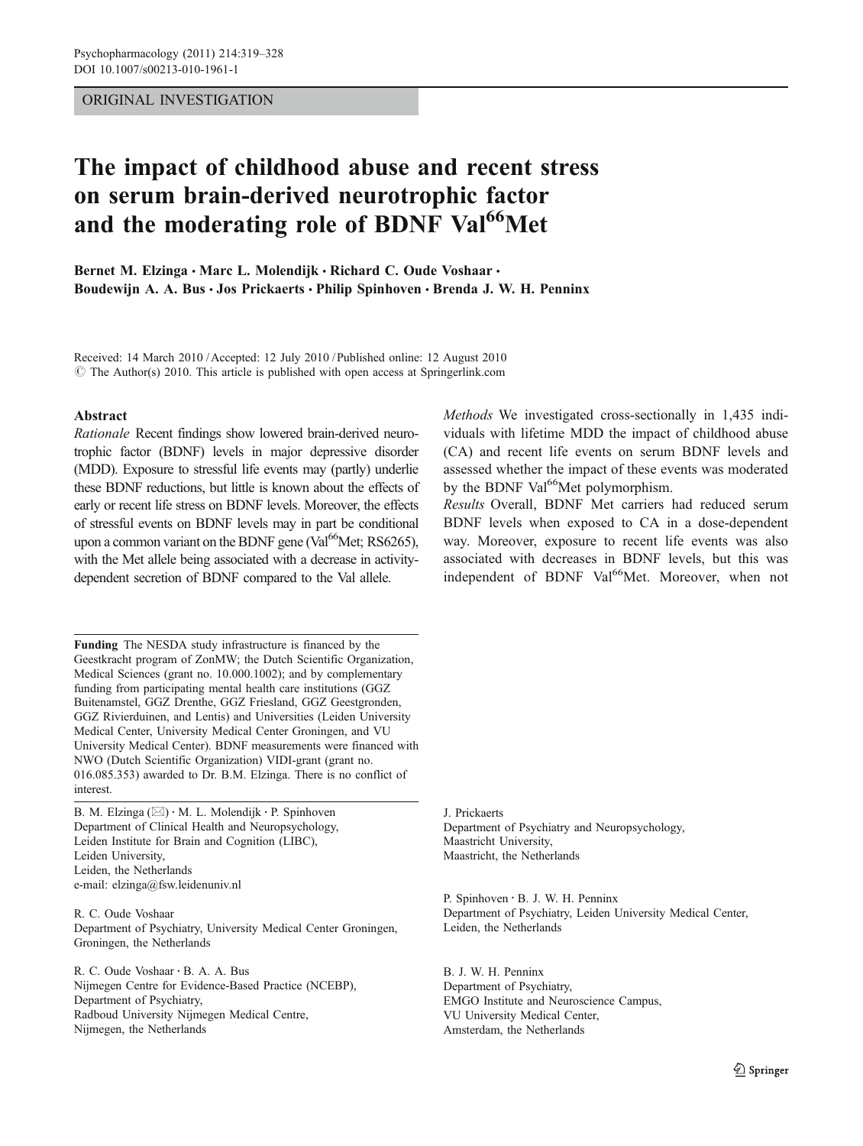# ORIGINAL INVESTIGATION

# The impact of childhood abuse and recent stress on serum brain-derived neurotrophic factor and the moderating role of BDNF Val<sup>66</sup>Met

Bernet M. Elzinga · Marc L. Molendijk · Richard C. Oude Voshaar · Boudewijn A. A. Bus · Jos Prickaerts · Philip Spinhoven · Brenda J. W. H. Penninx

Received: 14 March 2010 /Accepted: 12 July 2010 / Published online: 12 August 2010 © The Author(s) 2010. This article is published with open access at Springerlink.com

#### Abstract

Rationale Recent findings show lowered brain-derived neurotrophic factor (BDNF) levels in major depressive disorder (MDD). Exposure to stressful life events may (partly) underlie these BDNF reductions, but little is known about the effects of early or recent life stress on BDNF levels. Moreover, the effects of stressful events on BDNF levels may in part be conditional upon a common variant on the BDNF gene (Val $^{66}$ Met; RS6265), with the Met allele being associated with a decrease in activitydependent secretion of BDNF compared to the Val allele.

Funding The NESDA study infrastructure is financed by the Geestkracht program of ZonMW; the Dutch Scientific Organization, Medical Sciences (grant no. 10.000.1002); and by complementary funding from participating mental health care institutions (GGZ Buitenamstel, GGZ Drenthe, GGZ Friesland, GGZ Geestgronden, GGZ Rivierduinen, and Lentis) and Universities (Leiden University Medical Center, University Medical Center Groningen, and VU University Medical Center). BDNF measurements were financed with NWO (Dutch Scientific Organization) VIDI-grant (grant no. 016.085.353) awarded to Dr. B.M. Elzinga. There is no conflict of interest.

B. M. Elzinga  $(\boxtimes) \cdot$  M. L. Molendijk  $\cdot$  P. Spinhoven Department of Clinical Health and Neuropsychology, Leiden Institute for Brain and Cognition (LIBC), Leiden University, Leiden, the Netherlands e-mail: elzinga@fsw.leidenuniv.nl

R. C. Oude Voshaar Department of Psychiatry, University Medical Center Groningen, Groningen, the Netherlands

R. C. Oude Voshaar : B. A. A. Bus Nijmegen Centre for Evidence-Based Practice (NCEBP), Department of Psychiatry, Radboud University Nijmegen Medical Centre, Nijmegen, the Netherlands

Methods We investigated cross-sectionally in 1,435 individuals with lifetime MDD the impact of childhood abuse (CA) and recent life events on serum BDNF levels and assessed whether the impact of these events was moderated by the BDNF Val<sup>66</sup>Met polymorphism.

Results Overall, BDNF Met carriers had reduced serum BDNF levels when exposed to CA in a dose-dependent way. Moreover, exposure to recent life events was also associated with decreases in BDNF levels, but this was independent of BDNF Val<sup>66</sup>Met. Moreover, when not

J. Prickaerts Department of Psychiatry and Neuropsychology, Maastricht University, Maastricht, the Netherlands

P. Spinhoven : B. J. W. H. Penninx Department of Psychiatry, Leiden University Medical Center, Leiden, the Netherlands

B. J. W. H. Penninx Department of Psychiatry, EMGO Institute and Neuroscience Campus, VU University Medical Center, Amsterdam, the Netherlands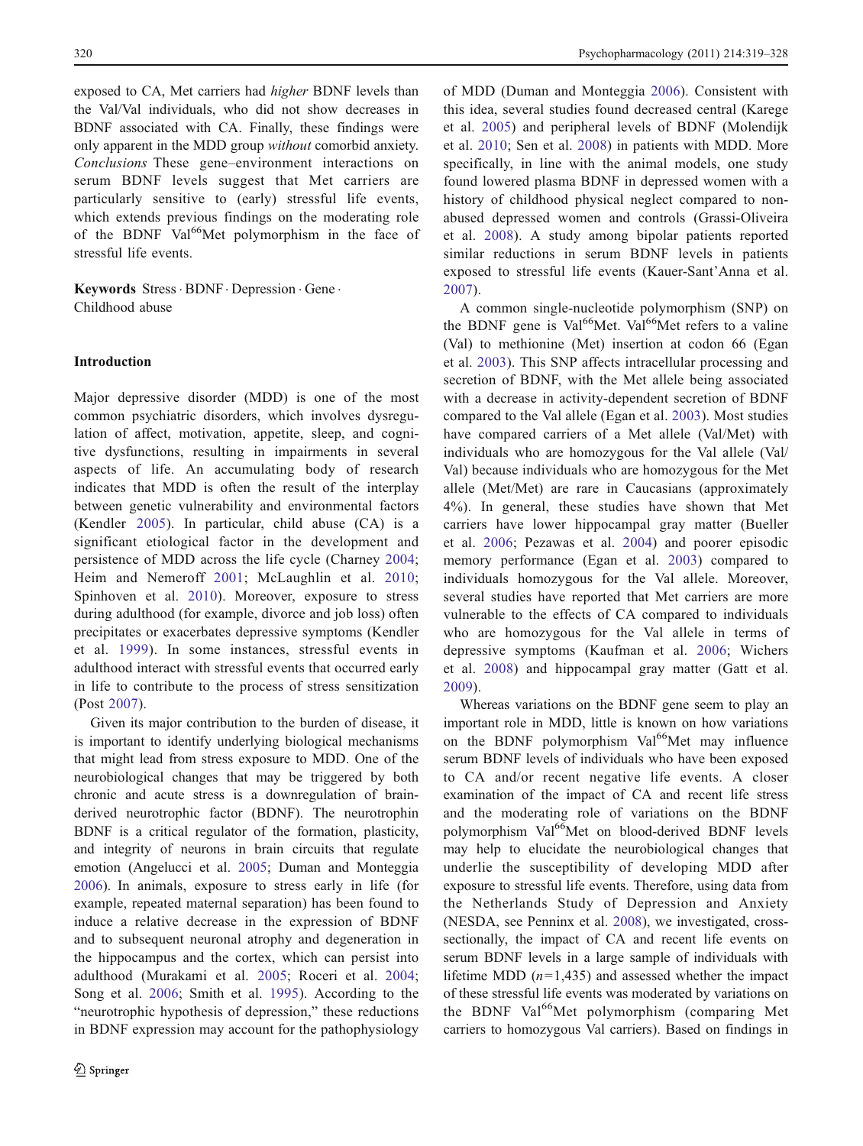exposed to CA, Met carriers had higher BDNF levels than the Val/Val individuals, who did not show decreases in BDNF associated with CA. Finally, these findings were only apparent in the MDD group without comorbid anxiety. Conclusions These gene–environment interactions on serum BDNF levels suggest that Met carriers are particularly sensitive to (early) stressful life events, which extends previous findings on the moderating role of the BDNF Val<sup>66</sup>Met polymorphism in the face of stressful life events.

Keywords Stress · BDNF · Depression · Gene · Childhood abuse

## Introduction

Major depressive disorder (MDD) is one of the most common psychiatric disorders, which involves dysregulation of affect, motivation, appetite, sleep, and cognitive dysfunctions, resulting in impairments in several aspects of life. An accumulating body of research indicates that MDD is often the result of the interplay between genetic vulnerability and environmental factors (Kendler [2005\)](#page-9-0). In particular, child abuse (CA) is a significant etiological factor in the development and persistence of MDD across the life cycle (Charney [2004](#page-8-0); Heim and Nemeroff [2001](#page-8-0); McLaughlin et al. [2010](#page-9-0); Spinhoven et al. [2010](#page-9-0)). Moreover, exposure to stress during adulthood (for example, divorce and job loss) often precipitates or exacerbates depressive symptoms (Kendler et al. [1999\)](#page-9-0). In some instances, stressful events in adulthood interact with stressful events that occurred early in life to contribute to the process of stress sensitization (Post [2007](#page-9-0)).

Given its major contribution to the burden of disease, it is important to identify underlying biological mechanisms that might lead from stress exposure to MDD. One of the neurobiological changes that may be triggered by both chronic and acute stress is a downregulation of brainderived neurotrophic factor (BDNF). The neurotrophin BDNF is a critical regulator of the formation, plasticity, and integrity of neurons in brain circuits that regulate emotion (Angelucci et al. [2005](#page-8-0); Duman and Monteggia [2006\)](#page-8-0). In animals, exposure to stress early in life (for example, repeated maternal separation) has been found to induce a relative decrease in the expression of BDNF and to subsequent neuronal atrophy and degeneration in the hippocampus and the cortex, which can persist into adulthood (Murakami et al. [2005](#page-9-0); Roceri et al. [2004](#page-9-0); Song et al. [2006](#page-9-0); Smith et al. [1995](#page-9-0)). According to the "neurotrophic hypothesis of depression," these reductions in BDNF expression may account for the pathophysiology of MDD (Duman and Monteggia [2006\)](#page-8-0). Consistent with this idea, several studies found decreased central (Karege et al. [2005\)](#page-8-0) and peripheral levels of BDNF (Molendijk et al. [2010](#page-9-0); Sen et al. [2008](#page-9-0)) in patients with MDD. More specifically, in line with the animal models, one study found lowered plasma BDNF in depressed women with a history of childhood physical neglect compared to nonabused depressed women and controls (Grassi-Oliveira et al. [2008\)](#page-8-0). A study among bipolar patients reported similar reductions in serum BDNF levels in patients exposed to stressful life events (Kauer-Sant'Anna et al. [2007](#page-8-0)).

A common single-nucleotide polymorphism (SNP) on the BDNF gene is Val<sup>66</sup>Met. Val<sup>66</sup>Met refers to a valine (Val) to methionine (Met) insertion at codon 66 (Egan et al. [2003\)](#page-8-0). This SNP affects intracellular processing and secretion of BDNF, with the Met allele being associated with a decrease in activity-dependent secretion of BDNF compared to the Val allele (Egan et al. [2003](#page-8-0)). Most studies have compared carriers of a Met allele (Val/Met) with individuals who are homozygous for the Val allele (Val/ Val) because individuals who are homozygous for the Met allele (Met/Met) are rare in Caucasians (approximately 4%). In general, these studies have shown that Met carriers have lower hippocampal gray matter (Bueller et al. [2006](#page-8-0); Pezawas et al. [2004](#page-9-0)) and poorer episodic memory performance (Egan et al. [2003\)](#page-8-0) compared to individuals homozygous for the Val allele. Moreover, several studies have reported that Met carriers are more vulnerable to the effects of CA compared to individuals who are homozygous for the Val allele in terms of depressive symptoms (Kaufman et al. [2006;](#page-8-0) Wichers et al. [2008\)](#page-9-0) and hippocampal gray matter (Gatt et al. [2009](#page-8-0)).

Whereas variations on the BDNF gene seem to play an important role in MDD, little is known on how variations on the BDNF polymorphism  $Val^{66}$ Met may influence serum BDNF levels of individuals who have been exposed to CA and/or recent negative life events. A closer examination of the impact of CA and recent life stress and the moderating role of variations on the BDNF polymorphism Val<sup>66</sup>Met on blood-derived BDNF levels may help to elucidate the neurobiological changes that underlie the susceptibility of developing MDD after exposure to stressful life events. Therefore, using data from the Netherlands Study of Depression and Anxiety (NESDA, see Penninx et al. [2008](#page-9-0)), we investigated, crosssectionally, the impact of CA and recent life events on serum BDNF levels in a large sample of individuals with lifetime MDD  $(n=1,435)$  and assessed whether the impact of these stressful life events was moderated by variations on the BDNF Val<sup>66</sup>Met polymorphism (comparing Met carriers to homozygous Val carriers). Based on findings in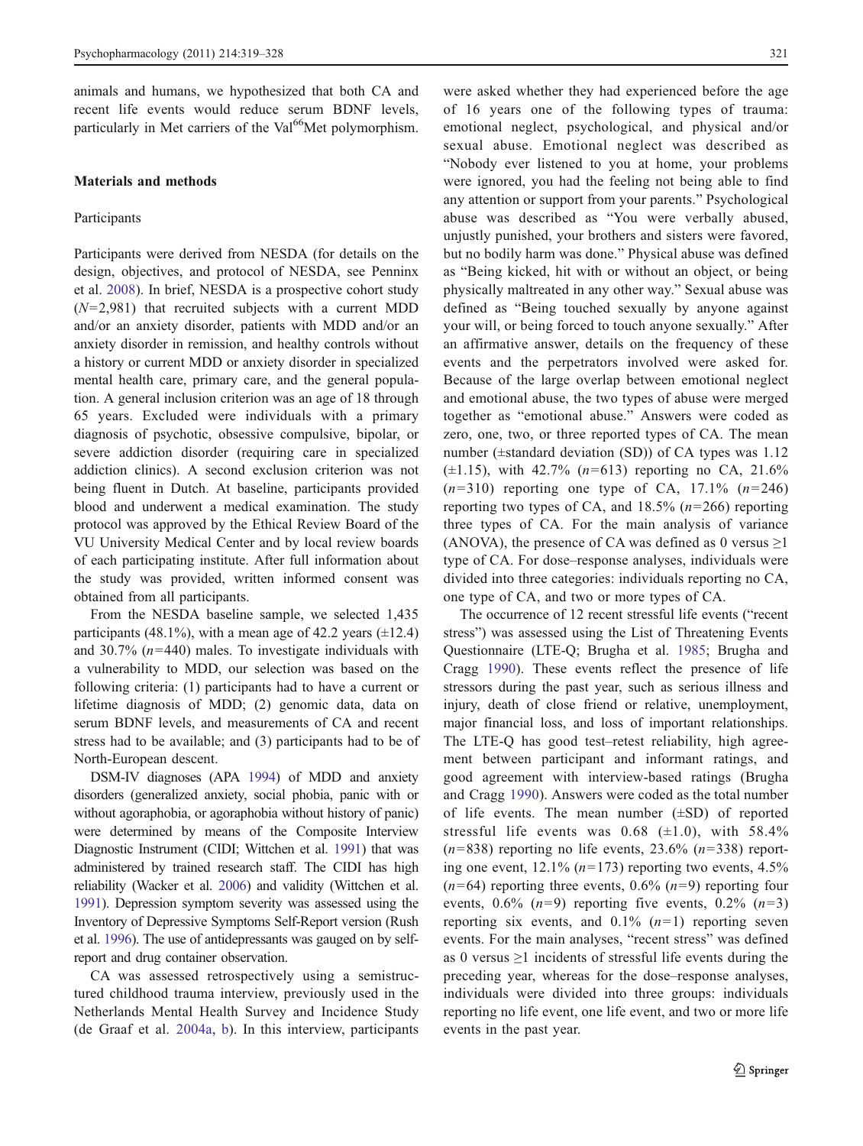animals and humans, we hypothesized that both CA and recent life events would reduce serum BDNF levels, particularly in Met carriers of the Val<sup>66</sup>Met polymorphism.

#### Materials and methods

#### Participants

Participants were derived from NESDA (for details on the design, objectives, and protocol of NESDA, see Penninx et al. [2008\)](#page-9-0). In brief, NESDA is a prospective cohort study  $(N=2,981)$  that recruited subjects with a current MDD and/or an anxiety disorder, patients with MDD and/or an anxiety disorder in remission, and healthy controls without a history or current MDD or anxiety disorder in specialized mental health care, primary care, and the general population. A general inclusion criterion was an age of 18 through 65 years. Excluded were individuals with a primary diagnosis of psychotic, obsessive compulsive, bipolar, or severe addiction disorder (requiring care in specialized addiction clinics). A second exclusion criterion was not being fluent in Dutch. At baseline, participants provided blood and underwent a medical examination. The study protocol was approved by the Ethical Review Board of the VU University Medical Center and by local review boards of each participating institute. After full information about the study was provided, written informed consent was obtained from all participants.

From the NESDA baseline sample, we selected 1,435 participants (48.1%), with a mean age of 42.2 years  $(\pm 12.4)$ and 30.7%  $(n=440)$  males. To investigate individuals with a vulnerability to MDD, our selection was based on the following criteria: (1) participants had to have a current or lifetime diagnosis of MDD; (2) genomic data, data on serum BDNF levels, and measurements of CA and recent stress had to be available; and (3) participants had to be of North-European descent.

DSM-IV diagnoses (APA [1994](#page-8-0)) of MDD and anxiety disorders (generalized anxiety, social phobia, panic with or without agoraphobia, or agoraphobia without history of panic) were determined by means of the Composite Interview Diagnostic Instrument (CIDI; Wittchen et al. [1991\)](#page-9-0) that was administered by trained research staff. The CIDI has high reliability (Wacker et al. [2006](#page-9-0)) and validity (Wittchen et al. [1991](#page-9-0)). Depression symptom severity was assessed using the Inventory of Depressive Symptoms Self-Report version (Rush et al. [1996\)](#page-9-0). The use of antidepressants was gauged on by selfreport and drug container observation.

CA was assessed retrospectively using a semistructured childhood trauma interview, previously used in the Netherlands Mental Health Survey and Incidence Study (de Graaf et al. [2004a,](#page-8-0) [b](#page-8-0)). In this interview, participants

were asked whether they had experienced before the age of 16 years one of the following types of trauma: emotional neglect, psychological, and physical and/or sexual abuse. Emotional neglect was described as "Nobody ever listened to you at home, your problems were ignored, you had the feeling not being able to find any attention or support from your parents." Psychological abuse was described as "You were verbally abused, unjustly punished, your brothers and sisters were favored, but no bodily harm was done." Physical abuse was defined as "Being kicked, hit with or without an object, or being physically maltreated in any other way." Sexual abuse was defined as "Being touched sexually by anyone against your will, or being forced to touch anyone sexually." After an affirmative answer, details on the frequency of these events and the perpetrators involved were asked for. Because of the large overlap between emotional neglect and emotional abuse, the two types of abuse were merged together as "emotional abuse." Answers were coded as zero, one, two, or three reported types of CA. The mean number (±standard deviation (SD)) of CA types was 1.12  $(\pm 1.15)$ , with 42.7% (*n*=613) reporting no CA, 21.6%  $(n=310)$  reporting one type of CA, 17.1%  $(n=246)$ reporting two types of CA, and  $18.5\%$  ( $n=266$ ) reporting three types of CA. For the main analysis of variance (ANOVA), the presence of CA was defined as 0 versus  $\geq$ 1 type of CA. For dose–response analyses, individuals were divided into three categories: individuals reporting no CA, one type of CA, and two or more types of CA.

The occurrence of 12 recent stressful life events ("recent stress") was assessed using the List of Threatening Events Questionnaire (LTE-Q; Brugha et al. [1985](#page-8-0); Brugha and Cragg [1990](#page-8-0)). These events reflect the presence of life stressors during the past year, such as serious illness and injury, death of close friend or relative, unemployment, major financial loss, and loss of important relationships. The LTE-Q has good test–retest reliability, high agreement between participant and informant ratings, and good agreement with interview-based ratings (Brugha and Cragg [1990](#page-8-0)). Answers were coded as the total number of life events. The mean number  $(\pm SD)$  of reported stressful life events was  $0.68$  ( $\pm 1.0$ ), with 58.4%  $(n=838)$  reporting no life events, 23.6%  $(n=338)$  reporting one event,  $12.1\%$  ( $n=173$ ) reporting two events,  $4.5\%$  $(n=64)$  reporting three events, 0.6%  $(n=9)$  reporting four events,  $0.6\%$  ( $n=9$ ) reporting five events,  $0.2\%$  ( $n=3$ ) reporting six events, and  $0.1\%$   $(n=1)$  reporting seven events. For the main analyses, "recent stress" was defined as 0 versus  $\geq$ 1 incidents of stressful life events during the preceding year, whereas for the dose–response analyses, individuals were divided into three groups: individuals reporting no life event, one life event, and two or more life events in the past year.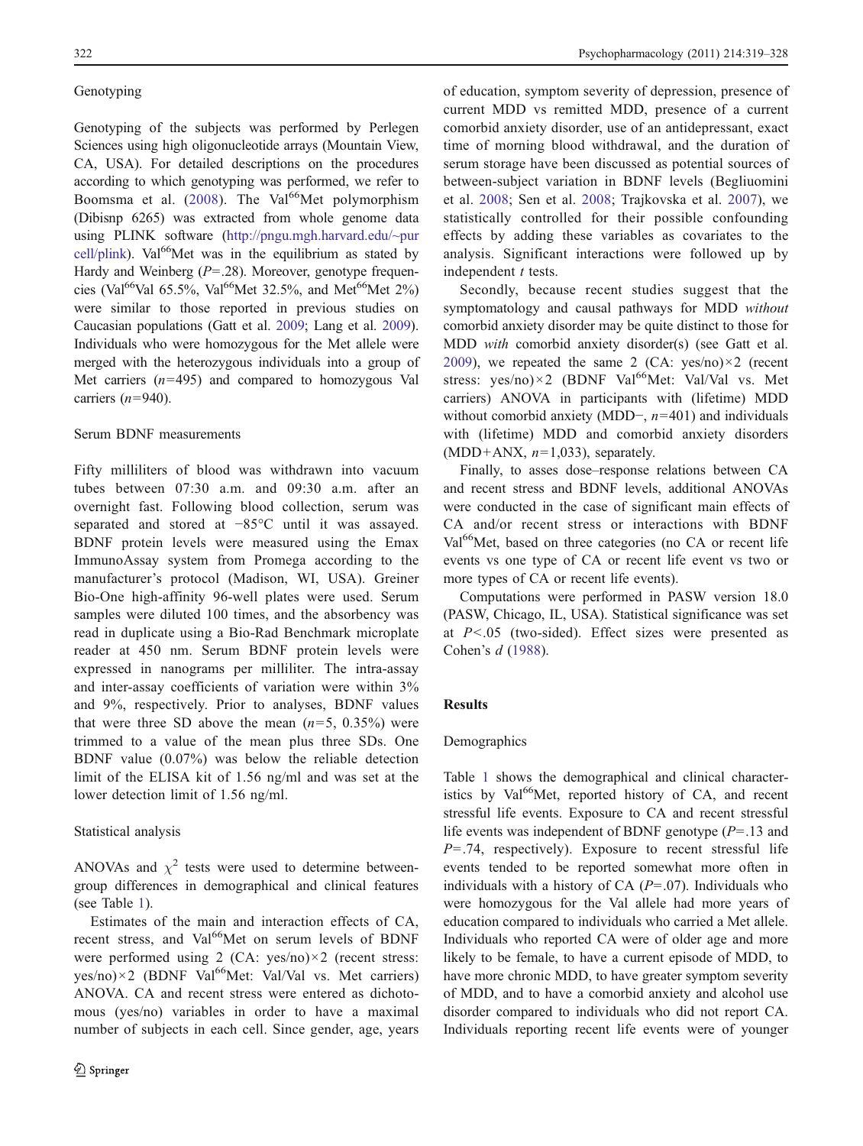# **Genotyping**

Genotyping of the subjects was performed by Perlegen Sciences using high oligonucleotide arrays (Mountain View, CA, USA). For detailed descriptions on the procedures according to which genotyping was performed, we refer to Boomsma et al.  $(2008)$  $(2008)$ . The Val<sup>66</sup>Met polymorphism (Dibisnp 6265) was extracted from whole genome data using PLINK software ([http://pngu.mgh.harvard.edu/~pur](http://pngu.mgh.harvard.edu/~purcell/plink) [cell/plink](http://pngu.mgh.harvard.edu/~purcell/plink)). Val $^{66}$ Met was in the equilibrium as stated by Hardy and Weinberg  $(P=.28)$ . Moreover, genotype frequencies (Val<sup>66</sup>Val 65.5%, Val<sup>66</sup>Met 32.5%, and Met<sup>66</sup>Met 2%) were similar to those reported in previous studies on Caucasian populations (Gatt et al. [2009](#page-8-0); Lang et al. [2009\)](#page-9-0). Individuals who were homozygous for the Met allele were merged with the heterozygous individuals into a group of Met carriers  $(n=495)$  and compared to homozygous Val carriers  $(n=940)$ .

## Serum BDNF measurements

Fifty milliliters of blood was withdrawn into vacuum tubes between 07:30 a.m. and 09:30 a.m. after an overnight fast. Following blood collection, serum was separated and stored at −85°C until it was assayed. BDNF protein levels were measured using the Emax ImmunoAssay system from Promega according to the manufacturer's protocol (Madison, WI, USA). Greiner Bio-One high-affinity 96-well plates were used. Serum samples were diluted 100 times, and the absorbency was read in duplicate using a Bio-Rad Benchmark microplate reader at 450 nm. Serum BDNF protein levels were expressed in nanograms per milliliter. The intra-assay and inter-assay coefficients of variation were within 3% and 9%, respectively. Prior to analyses, BDNF values that were three SD above the mean  $(n=5, 0.35\%)$  were trimmed to a value of the mean plus three SDs. One BDNF value (0.07%) was below the reliable detection limit of the ELISA kit of 1.56 ng/ml and was set at the lower detection limit of 1.56 ng/ml.

### Statistical analysis

ANOVAs and  $\chi^2$  tests were used to determine betweengroup differences in demographical and clinical features (see Table [1](#page-4-0)).

Estimates of the main and interaction effects of CA, recent stress, and Val<sup>66</sup>Met on serum levels of BDNF were performed using 2 (CA: yes/no)×2 (recent stress:  $yes/no) \times 2$  (BDNF Val<sup>66</sup>Met: Val/Val vs. Met carriers) ANOVA. CA and recent stress were entered as dichotomous (yes/no) variables in order to have a maximal number of subjects in each cell. Since gender, age, years of education, symptom severity of depression, presence of current MDD vs remitted MDD, presence of a current comorbid anxiety disorder, use of an antidepressant, exact time of morning blood withdrawal, and the duration of serum storage have been discussed as potential sources of between-subject variation in BDNF levels (Begliuomini et al. [2008](#page-8-0); Sen et al. [2008](#page-9-0); Trajkovska et al. [2007\)](#page-9-0), we statistically controlled for their possible confounding effects by adding these variables as covariates to the analysis. Significant interactions were followed up by independent  $t$  tests.

Secondly, because recent studies suggest that the symptomatology and causal pathways for MDD without comorbid anxiety disorder may be quite distinct to those for MDD with comorbid anxiety disorder(s) (see Gatt et al. [2009](#page-8-0)), we repeated the same 2 (CA:  $yes/no) \times 2$  (recent stress:  $yes/no) \times 2$  (BDNF Val<sup>66</sup>Met: Val/Val vs. Met carriers) ANOVA in participants with (lifetime) MDD without comorbid anxiety (MDD−, n=401) and individuals with (lifetime) MDD and comorbid anxiety disorders (MDD+ANX,  $n=1,033$ ), separately.

Finally, to asses dose–response relations between CA and recent stress and BDNF levels, additional ANOVAs were conducted in the case of significant main effects of CA and/or recent stress or interactions with BDNF Val<sup>66</sup>Met, based on three categories (no CA or recent life events vs one type of CA or recent life event vs two or more types of CA or recent life events).

Computations were performed in PASW version 18.0 (PASW, Chicago, IL, USA). Statistical significance was set at  $P < .05$  (two-sided). Effect sizes were presented as Cohen's d [\(1988](#page-8-0)).

## Results

## Demographics

Table [1](#page-4-0) shows the demographical and clinical characteristics by Val $^{66}$ Met, reported history of CA, and recent stressful life events. Exposure to CA and recent stressful life events was independent of BDNF genotype  $(P = .13$  and  $P = .74$ , respectively). Exposure to recent stressful life events tended to be reported somewhat more often in individuals with a history of CA  $(P=.07)$ . Individuals who were homozygous for the Val allele had more years of education compared to individuals who carried a Met allele. Individuals who reported CA were of older age and more likely to be female, to have a current episode of MDD, to have more chronic MDD, to have greater symptom severity of MDD, and to have a comorbid anxiety and alcohol use disorder compared to individuals who did not report CA. Individuals reporting recent life events were of younger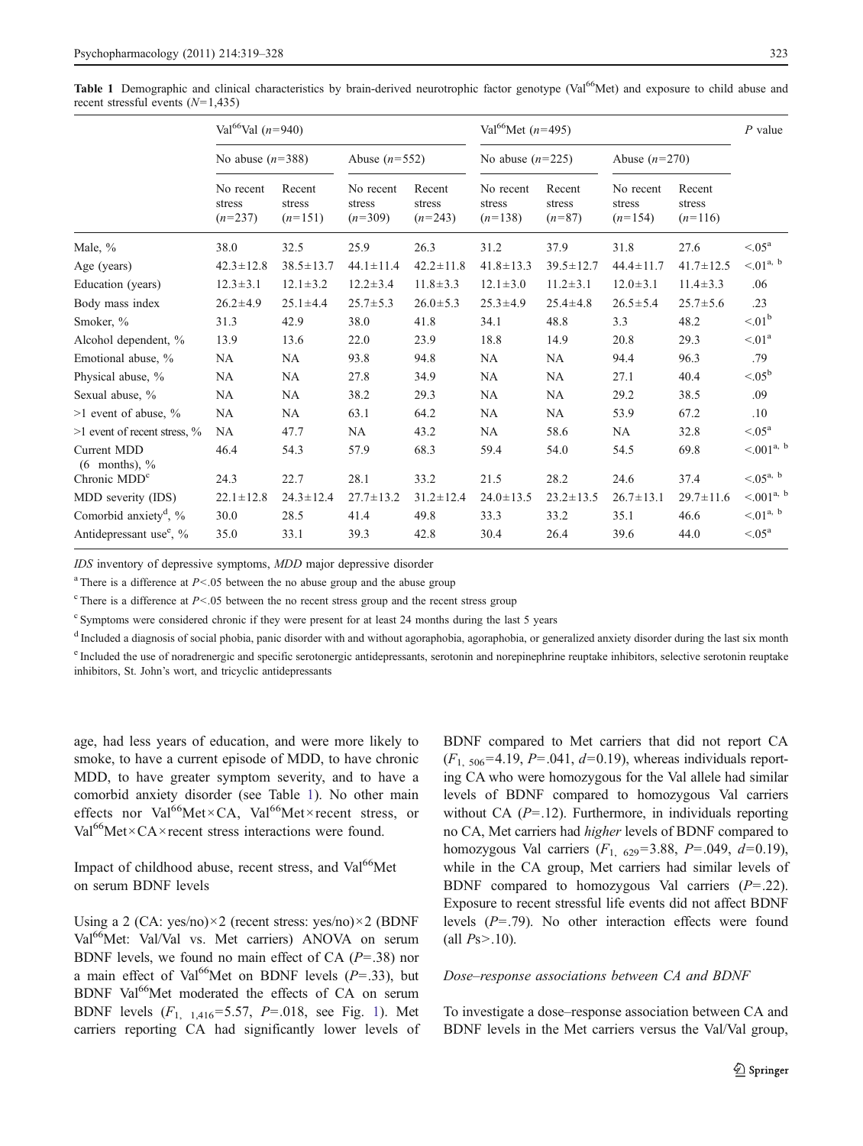<span id="page-4-0"></span>Table 1 Demographic and clinical characteristics by brain-derived neurotrophic factor genotype (Val<sup>66</sup>Met) and exposure to child abuse and recent stressful events  $(N=1,435)$ 

|                                     | Val <sup>66</sup> Val ( $n=940$ ) |                               |                                  |                               | Val <sup>66</sup> Met ( $n=495$ ) |                              |                                  |                               | $P$ value            |
|-------------------------------------|-----------------------------------|-------------------------------|----------------------------------|-------------------------------|-----------------------------------|------------------------------|----------------------------------|-------------------------------|----------------------|
|                                     | No abuse $(n=388)$                |                               | Abuse $(n=552)$                  |                               | No abuse $(n=225)$                |                              | Abuse $(n=270)$                  |                               |                      |
|                                     | No recent<br>stress<br>$(n=237)$  | Recent<br>stress<br>$(n=151)$ | No recent<br>stress<br>$(n=309)$ | Recent<br>stress<br>$(n=243)$ | No recent<br>stress<br>$(n=138)$  | Recent<br>stress<br>$(n=87)$ | No recent<br>stress<br>$(n=154)$ | Recent<br>stress<br>$(n=116)$ |                      |
| Male, %                             | 38.0                              | 32.5                          | 25.9                             | 26.3                          | 31.2                              | 37.9                         | 31.8                             | 27.6                          | $< 0.05^{\rm a}$     |
| Age (years)                         | $42.3 \pm 12.8$                   | $38.5 \pm 13.7$               | $44.1 \pm 11.4$                  | $42.2 \pm 11.8$               | $41.8 \pm 13.3$                   | $39.5 \pm 12.7$              | $44.4 \pm 11.7$                  | $41.7 \pm 12.5$               | ${<}01^{a, b}$       |
| Education (years)                   | $12.3 \pm 3.1$                    | $12.1 \pm 3.2$                | $12.2 \pm 3.4$                   | $11.8 \pm 3.3$                | $12.1 \pm 3.0$                    | $11.2 \pm 3.1$               | $12.0 \pm 3.1$                   | $11.4 \pm 3.3$                | .06                  |
| Body mass index                     | $26.2 \pm 4.9$                    | $25.1 \pm 4.4$                | $25.7 \pm 5.3$                   | $26.0 \pm 5.3$                | $25.3 \pm 4.9$                    | $25.4 \pm 4.8$               | $26.5 \pm 5.4$                   | $25.7 \pm 5.6$                | .23                  |
| Smoker, %                           | 31.3                              | 42.9                          | 38.0                             | 41.8                          | 34.1                              | 48.8                         | 3.3                              | 48.2                          | $\leq 01^{\rm b}$    |
| Alcohol dependent, %                | 13.9                              | 13.6                          | 22.0                             | 23.9                          | 18.8                              | 14.9                         | 20.8                             | 29.3                          | $\leq 01^a$          |
| Emotional abuse, %                  | <b>NA</b>                         | NA                            | 93.8                             | 94.8                          | NA.                               | NA.                          | 94.4                             | 96.3                          | .79                  |
| Physical abuse, %                   | NA                                | NA                            | 27.8                             | 34.9                          | <b>NA</b>                         | <b>NA</b>                    | 27.1                             | 40.4                          | $< 0.05^{\rm b}$     |
| Sexual abuse, %                     | NA.                               | NA                            | 38.2                             | 29.3                          | NA                                | NA                           | 29.2                             | 38.5                          | .09                  |
| $>1$ event of abuse, $\%$           | NA                                | NA                            | 63.1                             | 64.2                          | NA                                | <b>NA</b>                    | 53.9                             | 67.2                          | .10                  |
| $>1$ event of recent stress, $\%$   | <b>NA</b>                         | 47.7                          | NA                               | 43.2                          | <b>NA</b>                         | 58.6                         | NA                               | 32.8                          | $< 05^{\rm a}$       |
| Current MDD<br>$(6$ months), $\%$   | 46.4                              | 54.3                          | 57.9                             | 68.3                          | 59.4                              | 54.0                         | 54.5                             | 69.8                          | $< 0.01^{a, b}$      |
| Chronic MDD <sup>c</sup>            | 24.3                              | 22.7                          | 28.1                             | 33.2                          | 21.5                              | 28.2                         | 24.6                             | 37.4                          | $< 05^{\text{a, b}}$ |
| MDD severity (IDS)                  | $22.1 \pm 12.8$                   | $24.3 \pm 12.4$               | $27.7 \pm 13.2$                  | $31.2 \pm 12.4$               | $24.0 \pm 13.5$                   | $23.2 \pm 13.5$              | $26.7 \pm 13.1$                  | $29.7 \pm 11.6$               | $< 0.01^{a, b}$      |
| Comorbid anxiety <sup>d</sup> , %   | 30.0                              | 28.5                          | 41.4                             | 49.8                          | 33.3                              | 33.2                         | 35.1                             | 46.6                          | ${<}01^{a, b}$       |
| Antidepressant use <sup>e</sup> , % | 35.0                              | 33.1                          | 39.3                             | 42.8                          | 30.4                              | 26.4                         | 39.6                             | 44.0                          | $< 05^{\rm a}$       |
|                                     |                                   |                               |                                  |                               |                                   |                              |                                  |                               |                      |

IDS inventory of depressive symptoms, MDD major depressive disorder

<sup>a</sup> There is a difference at  $P < .05$  between the no abuse group and the abuse group

 $c$  There is a difference at  $P < 0.05$  between the no recent stress group and the recent stress group

<sup>c</sup> Symptoms were considered chronic if they were present for at least 24 months during the last 5 years

<sup>d</sup> Included a diagnosis of social phobia, panic disorder with and without agoraphobia, agoraphobia, or generalized anxiety disorder during the last six month <sup>e</sup> Included the use of noradrenergic and specific serotonergic antidepressants, serotonin and norepinephrine reuptake inhibitors, selective serotonin reuptake inhibitors, St. John's wort, and tricyclic antidepressants

age, had less years of education, and were more likely to smoke, to have a current episode of MDD, to have chronic MDD, to have greater symptom severity, and to have a comorbid anxiety disorder (see Table 1). No other main effects nor Val<sup>66</sup>Met×CA, Val<sup>66</sup>Met×recent stress, or Val<sup>66</sup>Met×CA× recent stress interactions were found.

Impact of childhood abuse, recent stress, and Val<sup>66</sup>Met on serum BDNF levels

Using a 2 (CA: yes/no)×2 (recent stress: yes/no)×2 (BDNF Val<sup>66</sup>Met: Val/Val vs. Met carriers) ANOVA on serum BDNF levels, we found no main effect of CA  $(P=.38)$  nor a main effect of Val<sup>66</sup>Met on BDNF levels ( $P = .33$ ), but BDNF Val<sup>66</sup>Met moderated the effects of CA on serum BDNF levels  $(F_{1, 1,416} = 5.57, P = .018,$  $(F_{1, 1,416} = 5.57, P = .018,$  $(F_{1, 1,416} = 5.57, P = .018,$  see Fig. 1). Met carriers reporting CA had significantly lower levels of BDNF compared to Met carriers that did not report CA  $(F_{1, 506} = 4.19, P = .041, d = 0.19)$ , whereas individuals reporting CA who were homozygous for the Val allele had similar levels of BDNF compared to homozygous Val carriers without CA  $(P=.12)$ . Furthermore, in individuals reporting no CA, Met carriers had higher levels of BDNF compared to homozygous Val carriers  $(F_1, 629) = 3.88$ ,  $P = .049$ ,  $d = 0.19$ ), while in the CA group, Met carriers had similar levels of BDNF compared to homozygous Val carriers  $(P=.22)$ . Exposure to recent stressful life events did not affect BDNF levels  $(P=.79)$ . No other interaction effects were found (all  $Ps > .10$ ).

#### Dose–response associations between CA and BDNF

To investigate a dose–response association between CA and BDNF levels in the Met carriers versus the Val/Val group,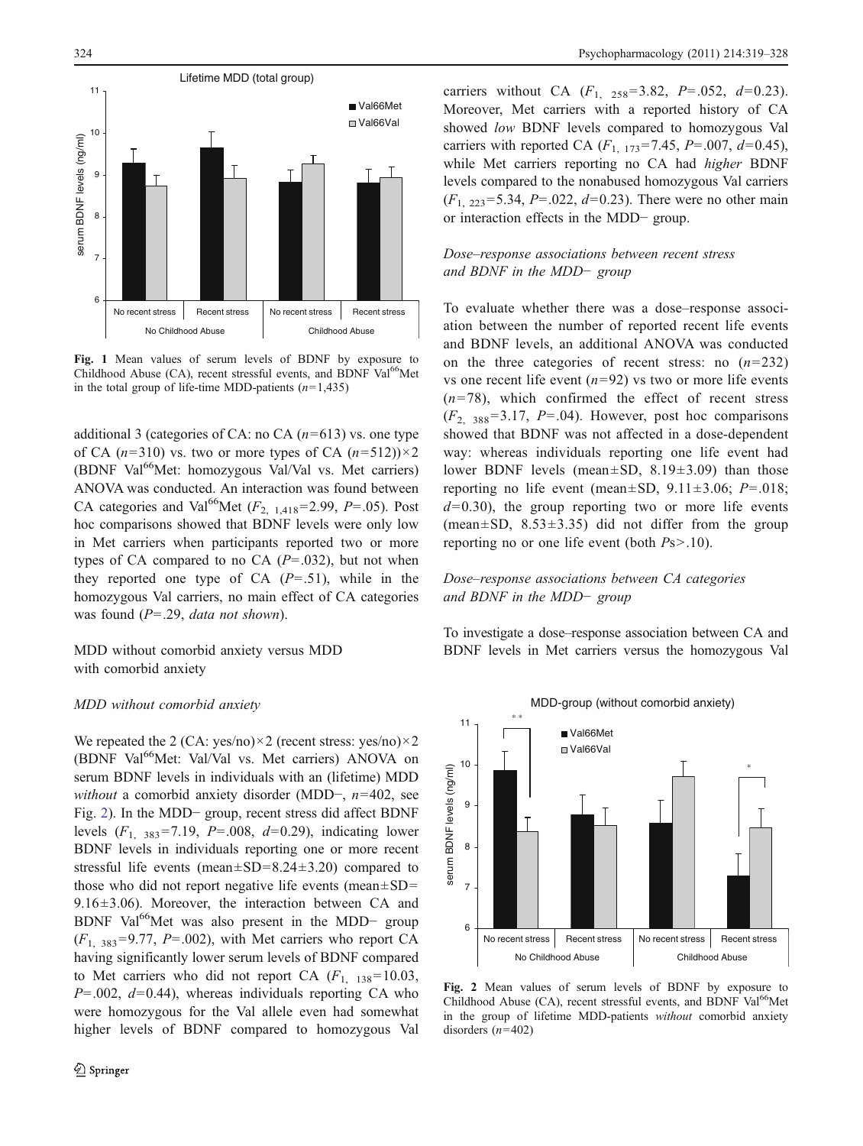<span id="page-5-0"></span>

Fig. 1 Mean values of serum levels of BDNF by exposure to Childhood Abuse (CA), recent stressful events, and BDNF Val<sup>66</sup>Met in the total group of life-time MDD-patients  $(n=1,435)$ 

additional 3 (categories of CA: no CA  $(n=613)$  vs. one type of CA ( $n=310$ ) vs. two or more types of CA ( $n=512$ )) $\times$ 2 (BDNF Val $^{66}$ Met: homozygous Val/Val vs. Met carriers) ANOVA was conducted. An interaction was found between CA categories and Val<sup>66</sup>Met ( $F_{2,1418}$ =2.99, P=.05). Post hoc comparisons showed that BDNF levels were only low in Met carriers when participants reported two or more types of CA compared to no CA  $(P=.032)$ , but not when they reported one type of CA  $(P=.51)$ , while in the homozygous Val carriers, no main effect of CA categories was found  $(P=.29, data not shown).$ 

MDD without comorbid anxiety versus MDD with comorbid anxiety

#### MDD without comorbid anxiety

We repeated the 2 (CA: yes/no) $\times$ 2 (recent stress: yes/no) $\times$ 2 (BDNF Val<sup>66</sup>Met: Val/Val vs. Met carriers) ANOVA on serum BDNF levels in individuals with an (lifetime) MDD without a comorbid anxiety disorder (MDD−, n=402, see Fig. 2). In the MDD− group, recent stress did affect BDNF levels  $(F_1, 383 = 7.19, P = .008, d = 0.29)$ , indicating lower BDNF levels in individuals reporting one or more recent stressful life events (mean $\pm$ SD=8.24 $\pm$ 3.20) compared to those who did not report negative life events (mean $\pm$ SD=  $9.16\pm3.06$ ). Moreover, the interaction between CA and BDNF Val<sup>66</sup>Met was also present in the MDD- group  $(F<sub>1, 383</sub>=9.77, P=.002)$ , with Met carriers who report CA having significantly lower serum levels of BDNF compared to Met carriers who did not report CA  $(F_{1, 138} = 10.03,$  $P=0.002$ ,  $d=0.44$ ), whereas individuals reporting CA who were homozygous for the Val allele even had somewhat higher levels of BDNF compared to homozygous Val carriers without CA  $(F_1, 258=3.82, P=.052, d=0.23)$ . Moreover, Met carriers with a reported history of CA showed low BDNF levels compared to homozygous Val carriers with reported CA  $(F_{1, 173} = 7.45, P = .007, d = 0.45)$ , while Met carriers reporting no CA had higher BDNF levels compared to the nonabused homozygous Val carriers  $(F_{1, 223} = 5.34, P = .022, d = 0.23)$ . There were no other main or interaction effects in the MDD− group.

# Dose–response associations between recent stress and BDNF in the MDD− group

To evaluate whether there was a dose–response association between the number of reported recent life events and BDNF levels, an additional ANOVA was conducted on the three categories of recent stress: no  $(n=232)$ vs one recent life event  $(n=92)$  vs two or more life events  $(n=78)$ , which confirmed the effect of recent stress  $(F<sub>2, 388</sub>=3.17, P=.04)$ . However, post hoc comparisons showed that BDNF was not affected in a dose-dependent way: whereas individuals reporting one life event had lower BDNF levels (mean±SD, 8.19±3.09) than those reporting no life event (mean $\pm$ SD, 9.11 $\pm$ 3.06; P=.018;  $d=0.30$ , the group reporting two or more life events (mean $\pm$ SD, 8.53 $\pm$ 3.35) did not differ from the group reporting no or one life event (both Ps>.10).

# Dose–response associations between CA categories and BDNF in the MDD− group

To investigate a dose–response association between CA and BDNF levels in Met carriers versus the homozygous Val



Fig. 2 Mean values of serum levels of BDNF by exposure to Childhood Abuse  $(CA)$ , recent stressful events, and BDNF Val<sup>66</sup>Met in the group of lifetime MDD-patients without comorbid anxiety disorders  $(n=402)$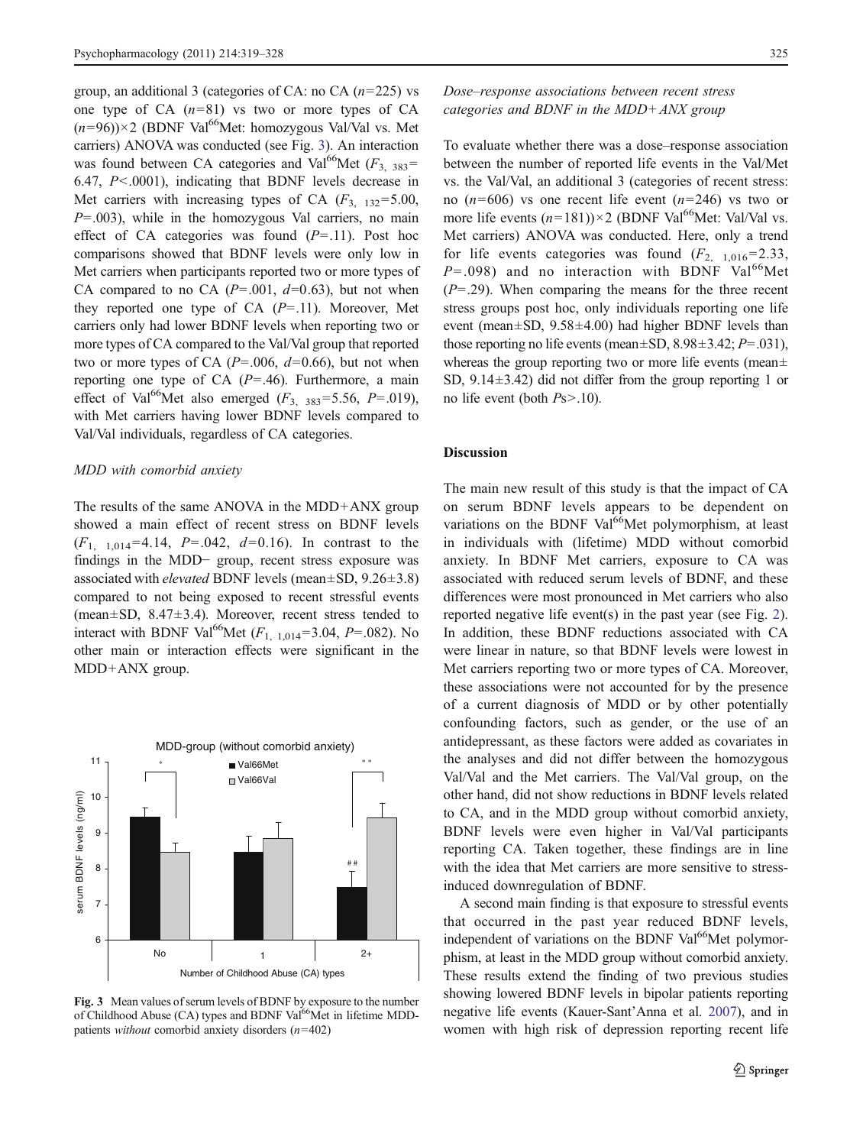group, an additional 3 (categories of CA: no CA  $(n=225)$  vs one type of  $CA$  ( $n=81$ ) vs two or more types of  $CA$  $(n=96)$ )×2 (BDNF Val<sup>66</sup>Met: homozygous Val/Val vs. Met carriers) ANOVA was conducted (see Fig. 3). An interaction was found between CA categories and Val<sup>66</sup>Met ( $F_{3,383}$ = 6.47, P<.0001), indicating that BDNF levels decrease in Met carriers with increasing types of CA  $(F_3, 132) = 5.00$ ,  $P=0.003$ ), while in the homozygous Val carriers, no main effect of CA categories was found  $(P=.11)$ . Post hoc comparisons showed that BDNF levels were only low in Met carriers when participants reported two or more types of CA compared to no CA  $(P=.001, d=0.63)$ , but not when they reported one type of CA  $(P=.11)$ . Moreover, Met carriers only had lower BDNF levels when reporting two or more types of CA compared to the Val/Val group that reported two or more types of CA  $(P=.006, d=0.66)$ , but not when reporting one type of CA  $(P=.46)$ . Furthermore, a main effect of Val<sup>66</sup>Met also emerged ( $F_{3, 383} = 5.56$ ,  $P = .019$ ), with Met carriers having lower BDNF levels compared to Val/Val individuals, regardless of CA categories.

#### MDD with comorbid anxiety

The results of the same ANOVA in the MDD+ANX group showed a main effect of recent stress on BDNF levels  $(F_{1, 1, 0, 14} = 4.14, P = .042, d = 0.16)$ . In contrast to the findings in the MDD− group, recent stress exposure was associated with *elevated* BDNF levels (mean $\pm$ SD, 9.26 $\pm$ 3.8) compared to not being exposed to recent stressful events (mean±SD, 8.47±3.4). Moreover, recent stress tended to interact with BDNF Val<sup>66</sup>Met ( $F_{1, 1, 014}$ =3.04, P=.082). No other main or interaction effects were significant in the MDD+ANX group.



Fig. 3 Mean values of serum levels of BDNF by exposure to the number of Childhood Abuse (CA) types and BDNF Val<sup>66</sup>Met in lifetime MDDpatients *without* comorbid anxiety disorders  $(n=402)$ 

# Dose–response associations between recent stress categories and BDNF in the MDD+ANX group

To evaluate whether there was a dose–response association between the number of reported life events in the Val/Met vs. the Val/Val, an additional 3 (categories of recent stress: no  $(n=606)$  vs one recent life event  $(n=246)$  vs two or more life events  $(n=181)$ )×2 (BDNF Val<sup>66</sup>Met: Val/Val vs. Met carriers) ANOVA was conducted. Here, only a trend for life events categories was found  $(F_{2, 1,016} = 2.33)$ ,  $P = .098$ ) and no interaction with BDNF Val<sup>66</sup>Met  $(P=0.29)$ . When comparing the means for the three recent stress groups post hoc, only individuals reporting one life event (mean±SD, 9.58±4.00) had higher BDNF levels than those reporting no life events (mean $\pm$ SD, 8.98 $\pm$ 3.42; P=.031), whereas the group reporting two or more life events (mean $\pm$ SD, 9.14±3.42) did not differ from the group reporting 1 or no life event (both Ps>.10).

#### Discussion

The main new result of this study is that the impact of CA on serum BDNF levels appears to be dependent on variations on the BDNF Val<sup>66</sup>Met polymorphism, at least in individuals with (lifetime) MDD without comorbid anxiety. In BDNF Met carriers, exposure to CA was associated with reduced serum levels of BDNF, and these differences were most pronounced in Met carriers who also reported negative life event(s) in the past year (see Fig. [2\)](#page-5-0). In addition, these BDNF reductions associated with CA were linear in nature, so that BDNF levels were lowest in Met carriers reporting two or more types of CA. Moreover, these associations were not accounted for by the presence of a current diagnosis of MDD or by other potentially confounding factors, such as gender, or the use of an antidepressant, as these factors were added as covariates in the analyses and did not differ between the homozygous Val/Val and the Met carriers. The Val/Val group, on the other hand, did not show reductions in BDNF levels related to CA, and in the MDD group without comorbid anxiety, BDNF levels were even higher in Val/Val participants reporting CA. Taken together, these findings are in line with the idea that Met carriers are more sensitive to stressinduced downregulation of BDNF.

A second main finding is that exposure to stressful events that occurred in the past year reduced BDNF levels, independent of variations on the BDNF Val<sup>66</sup>Met polymorphism, at least in the MDD group without comorbid anxiety. These results extend the finding of two previous studies showing lowered BDNF levels in bipolar patients reporting negative life events (Kauer-Sant'Anna et al. [2007\)](#page-8-0), and in women with high risk of depression reporting recent life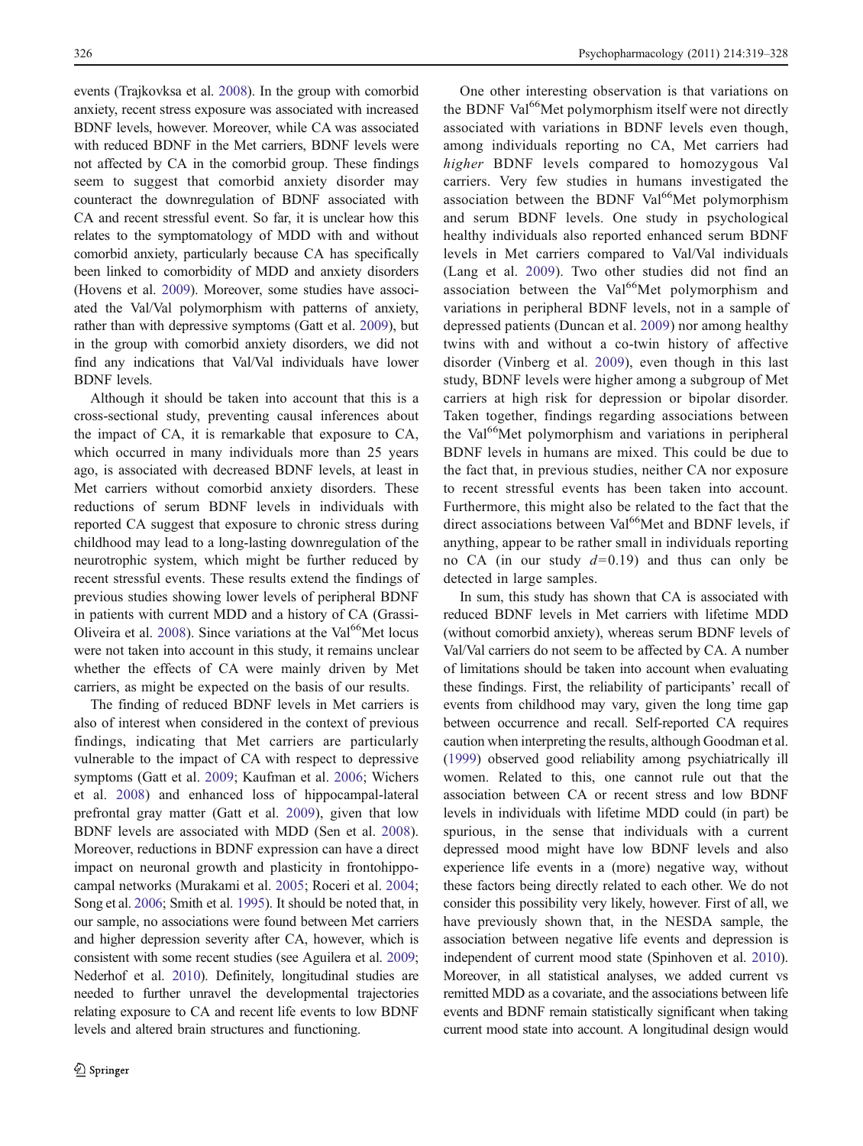events (Trajkovksa et al. [2008\)](#page-9-0). In the group with comorbid anxiety, recent stress exposure was associated with increased BDNF levels, however. Moreover, while CA was associated with reduced BDNF in the Met carriers, BDNF levels were not affected by CA in the comorbid group. These findings seem to suggest that comorbid anxiety disorder may counteract the downregulation of BDNF associated with CA and recent stressful event. So far, it is unclear how this relates to the symptomatology of MDD with and without comorbid anxiety, particularly because CA has specifically been linked to comorbidity of MDD and anxiety disorders (Hovens et al. [2009](#page-8-0)). Moreover, some studies have associated the Val/Val polymorphism with patterns of anxiety, rather than with depressive symptoms (Gatt et al. [2009](#page-8-0)), but in the group with comorbid anxiety disorders, we did not find any indications that Val/Val individuals have lower BDNF levels.

Although it should be taken into account that this is a cross-sectional study, preventing causal inferences about the impact of CA, it is remarkable that exposure to CA, which occurred in many individuals more than 25 years ago, is associated with decreased BDNF levels, at least in Met carriers without comorbid anxiety disorders. These reductions of serum BDNF levels in individuals with reported CA suggest that exposure to chronic stress during childhood may lead to a long-lasting downregulation of the neurotrophic system, which might be further reduced by recent stressful events. These results extend the findings of previous studies showing lower levels of peripheral BDNF in patients with current MDD and a history of CA (Grassi-Oliveira et al. [2008\)](#page-8-0). Since variations at the Val<sup>66</sup>Met locus were not taken into account in this study, it remains unclear whether the effects of CA were mainly driven by Met carriers, as might be expected on the basis of our results.

The finding of reduced BDNF levels in Met carriers is also of interest when considered in the context of previous findings, indicating that Met carriers are particularly vulnerable to the impact of CA with respect to depressive symptoms (Gatt et al. [2009;](#page-8-0) Kaufman et al. [2006;](#page-8-0) Wichers et al. [2008](#page-9-0)) and enhanced loss of hippocampal-lateral prefrontal gray matter (Gatt et al. [2009\)](#page-8-0), given that low BDNF levels are associated with MDD (Sen et al. [2008](#page-9-0)). Moreover, reductions in BDNF expression can have a direct impact on neuronal growth and plasticity in frontohippocampal networks (Murakami et al. [2005](#page-9-0); Roceri et al. [2004](#page-9-0); Song et al. [2006](#page-9-0); Smith et al. [1995\)](#page-9-0). It should be noted that, in our sample, no associations were found between Met carriers and higher depression severity after CA, however, which is consistent with some recent studies (see Aguilera et al. [2009](#page-8-0); Nederhof et al. [2010](#page-9-0)). Definitely, longitudinal studies are needed to further unravel the developmental trajectories relating exposure to CA and recent life events to low BDNF levels and altered brain structures and functioning.

One other interesting observation is that variations on the BDNF Val<sup>66</sup>Met polymorphism itself were not directly associated with variations in BDNF levels even though, among individuals reporting no CA, Met carriers had higher BDNF levels compared to homozygous Val carriers. Very few studies in humans investigated the association between the BDNF Val<sup>66</sup>Met polymorphism and serum BDNF levels. One study in psychological healthy individuals also reported enhanced serum BDNF levels in Met carriers compared to Val/Val individuals (Lang et al. [2009](#page-9-0)). Two other studies did not find an association between the Val<sup>66</sup>Met polymorphism and variations in peripheral BDNF levels, not in a sample of depressed patients (Duncan et al. [2009\)](#page-8-0) nor among healthy twins with and without a co-twin history of affective disorder (Vinberg et al. [2009](#page-9-0)), even though in this last study, BDNF levels were higher among a subgroup of Met carriers at high risk for depression or bipolar disorder. Taken together, findings regarding associations between the Val<sup>66</sup>Met polymorphism and variations in peripheral BDNF levels in humans are mixed. This could be due to the fact that, in previous studies, neither CA nor exposure to recent stressful events has been taken into account. Furthermore, this might also be related to the fact that the direct associations between Val<sup>66</sup>Met and BDNF levels, if anything, appear to be rather small in individuals reporting no CA (in our study  $d=0.19$ ) and thus can only be detected in large samples.

In sum, this study has shown that CA is associated with reduced BDNF levels in Met carriers with lifetime MDD (without comorbid anxiety), whereas serum BDNF levels of Val/Val carriers do not seem to be affected by CA. A number of limitations should be taken into account when evaluating these findings. First, the reliability of participants' recall of events from childhood may vary, given the long time gap between occurrence and recall. Self-reported CA requires caution when interpreting the results, although Goodman et al. [\(1999\)](#page-8-0) observed good reliability among psychiatrically ill women. Related to this, one cannot rule out that the association between CA or recent stress and low BDNF levels in individuals with lifetime MDD could (in part) be spurious, in the sense that individuals with a current depressed mood might have low BDNF levels and also experience life events in a (more) negative way, without these factors being directly related to each other. We do not consider this possibility very likely, however. First of all, we have previously shown that, in the NESDA sample, the association between negative life events and depression is independent of current mood state (Spinhoven et al. [2010\)](#page-9-0). Moreover, in all statistical analyses, we added current vs remitted MDD as a covariate, and the associations between life events and BDNF remain statistically significant when taking current mood state into account. A longitudinal design would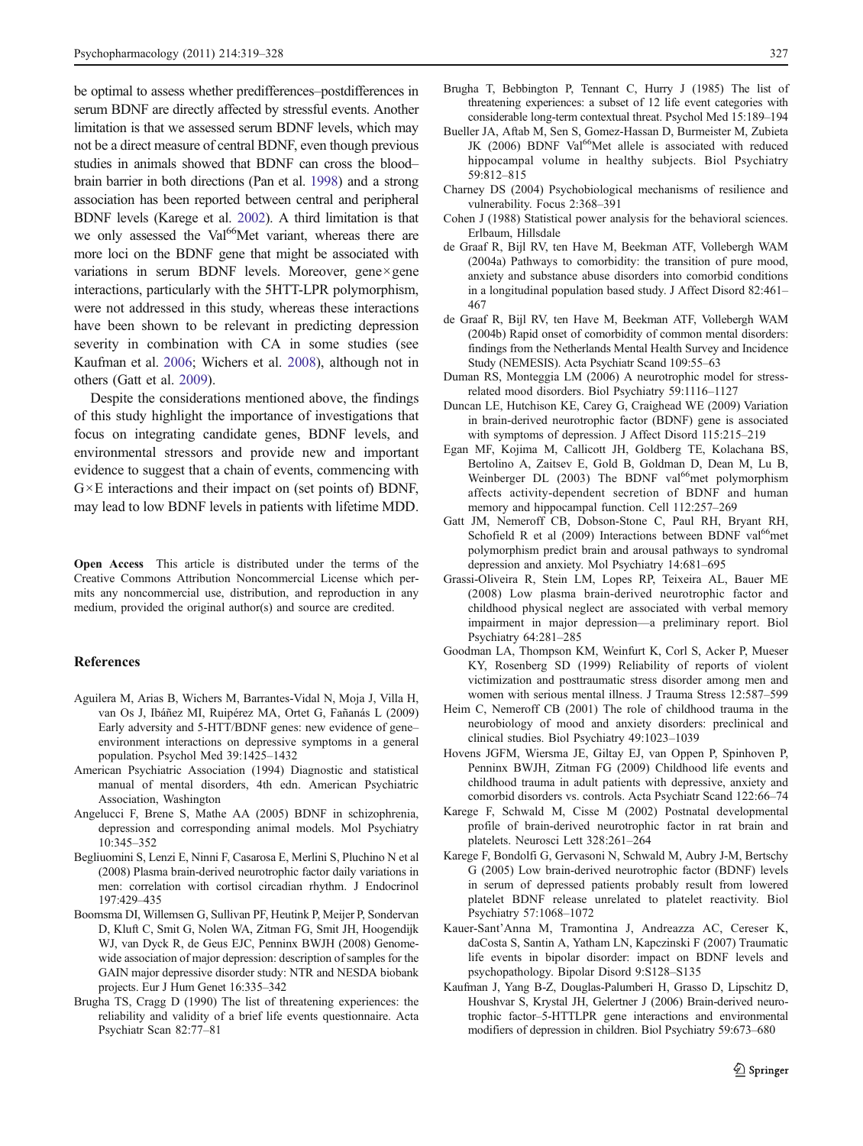<span id="page-8-0"></span>be optimal to assess whether predifferences–postdifferences in serum BDNF are directly affected by stressful events. Another limitation is that we assessed serum BDNF levels, which may not be a direct measure of central BDNF, even though previous studies in animals showed that BDNF can cross the blood– brain barrier in both directions (Pan et al. [1998](#page-9-0)) and a strong association has been reported between central and peripheral BDNF levels (Karege et al. 2002). A third limitation is that we only assessed the Val<sup>66</sup>Met variant, whereas there are more loci on the BDNF gene that might be associated with variations in serum BDNF levels. Moreover, gene×gene interactions, particularly with the 5HTT-LPR polymorphism, were not addressed in this study, whereas these interactions have been shown to be relevant in predicting depression severity in combination with CA in some studies (see Kaufman et al. 2006; Wichers et al. [2008](#page-9-0)), although not in others (Gatt et al. 2009).

Despite the considerations mentioned above, the findings of this study highlight the importance of investigations that focus on integrating candidate genes, BDNF levels, and environmental stressors and provide new and important evidence to suggest that a chain of events, commencing with  $G \times E$  interactions and their impact on (set points of) BDNF, may lead to low BDNF levels in patients with lifetime MDD.

Open Access This article is distributed under the terms of the Creative Commons Attribution Noncommercial License which permits any noncommercial use, distribution, and reproduction in any medium, provided the original author(s) and source are credited.

# References

- Aguilera M, Arias B, Wichers M, Barrantes-Vidal N, Moja J, Villa H, van Os J, Ibáñez MI, Ruipérez MA, Ortet G, Fañanás L (2009) Early adversity and 5-HTT/BDNF genes: new evidence of gene– environment interactions on depressive symptoms in a general population. Psychol Med 39:1425–1432
- American Psychiatric Association (1994) Diagnostic and statistical manual of mental disorders, 4th edn. American Psychiatric Association, Washington
- Angelucci F, Brene S, Mathe AA (2005) BDNF in schizophrenia, depression and corresponding animal models. Mol Psychiatry 10:345–352
- Begliuomini S, Lenzi E, Ninni F, Casarosa E, Merlini S, Pluchino N et al (2008) Plasma brain-derived neurotrophic factor daily variations in men: correlation with cortisol circadian rhythm. J Endocrinol 197:429–435
- Boomsma DI, Willemsen G, Sullivan PF, Heutink P, Meijer P, Sondervan D, Kluft C, Smit G, Nolen WA, Zitman FG, Smit JH, Hoogendijk WJ, van Dyck R, de Geus EJC, Penninx BWJH (2008) Genomewide association of major depression: description of samples for the GAIN major depressive disorder study: NTR and NESDA biobank projects. Eur J Hum Genet 16:335–342
- Brugha TS, Cragg D (1990) The list of threatening experiences: the reliability and validity of a brief life events questionnaire. Acta Psychiatr Scan 82:77–81
- Brugha T, Bebbington P, Tennant C, Hurry J (1985) The list of threatening experiences: a subset of 12 life event categories with considerable long-term contextual threat. Psychol Med 15:189–194
- Bueller JA, Aftab M, Sen S, Gomez-Hassan D, Burmeister M, Zubieta JK (2006) BDNF Val<sup>66</sup>Met allele is associated with reduced hippocampal volume in healthy subjects. Biol Psychiatry 59:812–815
- Charney DS (2004) Psychobiological mechanisms of resilience and vulnerability. Focus 2:368–391
- Cohen J (1988) Statistical power analysis for the behavioral sciences. Erlbaum, Hillsdale
- de Graaf R, Bijl RV, ten Have M, Beekman ATF, Vollebergh WAM (2004a) Pathways to comorbidity: the transition of pure mood, anxiety and substance abuse disorders into comorbid conditions in a longitudinal population based study. J Affect Disord 82:461– 467
- de Graaf R, Bijl RV, ten Have M, Beekman ATF, Vollebergh WAM (2004b) Rapid onset of comorbidity of common mental disorders: findings from the Netherlands Mental Health Survey and Incidence Study (NEMESIS). Acta Psychiatr Scand 109:55–63
- Duman RS, Monteggia LM (2006) A neurotrophic model for stressrelated mood disorders. Biol Psychiatry 59:1116–1127
- Duncan LE, Hutchison KE, Carey G, Craighead WE (2009) Variation in brain-derived neurotrophic factor (BDNF) gene is associated with symptoms of depression. J Affect Disord 115:215–219
- Egan MF, Kojima M, Callicott JH, Goldberg TE, Kolachana BS, Bertolino A, Zaitsev E, Gold B, Goldman D, Dean M, Lu B, Weinberger DL (2003) The BDNF val<sup>66</sup>met polymorphism affects activity-dependent secretion of BDNF and human memory and hippocampal function. Cell 112:257–269
- Gatt JM, Nemeroff CB, Dobson-Stone C, Paul RH, Bryant RH, Schofield R et al  $(2009)$  Interactions between BDNF val<sup>66</sup>met polymorphism predict brain and arousal pathways to syndromal depression and anxiety. Mol Psychiatry 14:681–695
- Grassi-Oliveira R, Stein LM, Lopes RP, Teixeira AL, Bauer ME (2008) Low plasma brain-derived neurotrophic factor and childhood physical neglect are associated with verbal memory impairment in major depression—a preliminary report. Biol Psychiatry 64:281–285
- Goodman LA, Thompson KM, Weinfurt K, Corl S, Acker P, Mueser KY, Rosenberg SD (1999) Reliability of reports of violent victimization and posttraumatic stress disorder among men and women with serious mental illness. J Trauma Stress 12:587–599
- Heim C, Nemeroff CB (2001) The role of childhood trauma in the neurobiology of mood and anxiety disorders: preclinical and clinical studies. Biol Psychiatry 49:1023–1039
- Hovens JGFM, Wiersma JE, Giltay EJ, van Oppen P, Spinhoven P, Penninx BWJH, Zitman FG (2009) Childhood life events and childhood trauma in adult patients with depressive, anxiety and comorbid disorders vs. controls. Acta Psychiatr Scand 122:66–74
- Karege F, Schwald M, Cisse M (2002) Postnatal developmental profile of brain-derived neurotrophic factor in rat brain and platelets. Neurosci Lett 328:261–264
- Karege F, Bondolfi G, Gervasoni N, Schwald M, Aubry J-M, Bertschy G (2005) Low brain-derived neurotrophic factor (BDNF) levels in serum of depressed patients probably result from lowered platelet BDNF release unrelated to platelet reactivity. Biol Psychiatry 57:1068–1072
- Kauer-Sant'Anna M, Tramontina J, Andreazza AC, Cereser K, daCosta S, Santin A, Yatham LN, Kapczinski F (2007) Traumatic life events in bipolar disorder: impact on BDNF levels and psychopathology. Bipolar Disord 9:S128–S135
- Kaufman J, Yang B-Z, Douglas-Palumberi H, Grasso D, Lipschitz D, Houshvar S, Krystal JH, Gelertner J (2006) Brain-derived neurotrophic factor–5-HTTLPR gene interactions and environmental modifiers of depression in children. Biol Psychiatry 59:673–680